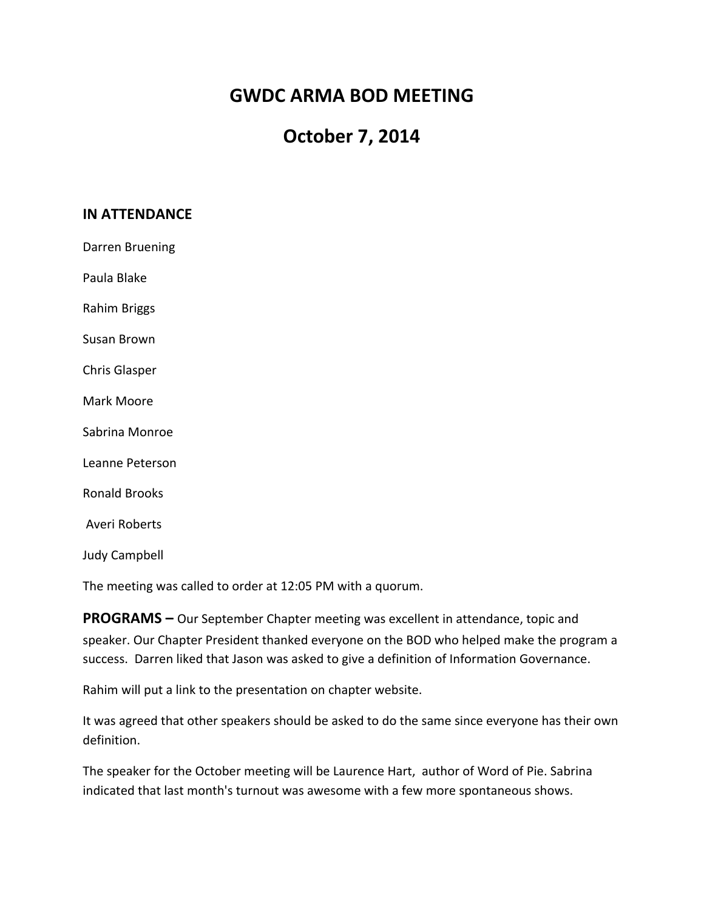# **GWDC ARMA BOD MEETING**

# **October 7, 2014**

## **IN ATTENDANCE**

Darren Bruening

Paula Blake

Rahim Briggs

Susan Brown

Chris Glasper

Mark Moore

Sabrina Monroe

Leanne Peterson

Ronald Brooks

Averi Roberts

Judy Campbell

The meeting was called to order at 12:05 PM with a quorum.

**PROGRAMS** – Our September Chapter meeting was excellent in attendance, topic and speaker. Our Chapter President thanked everyone on the BOD who helped make the program a success. Darren liked that Jason was asked to give a definition of Information Governance.

Rahim will put a link to the presentation on chapter website.

It was agreed that other speakers should be asked to do the same since everyone has their own definition.

The speaker for the October meeting will be Laurence Hart, author of Word of Pie. Sabrina indicated that last month's turnout was awesome with a few more spontaneous shows.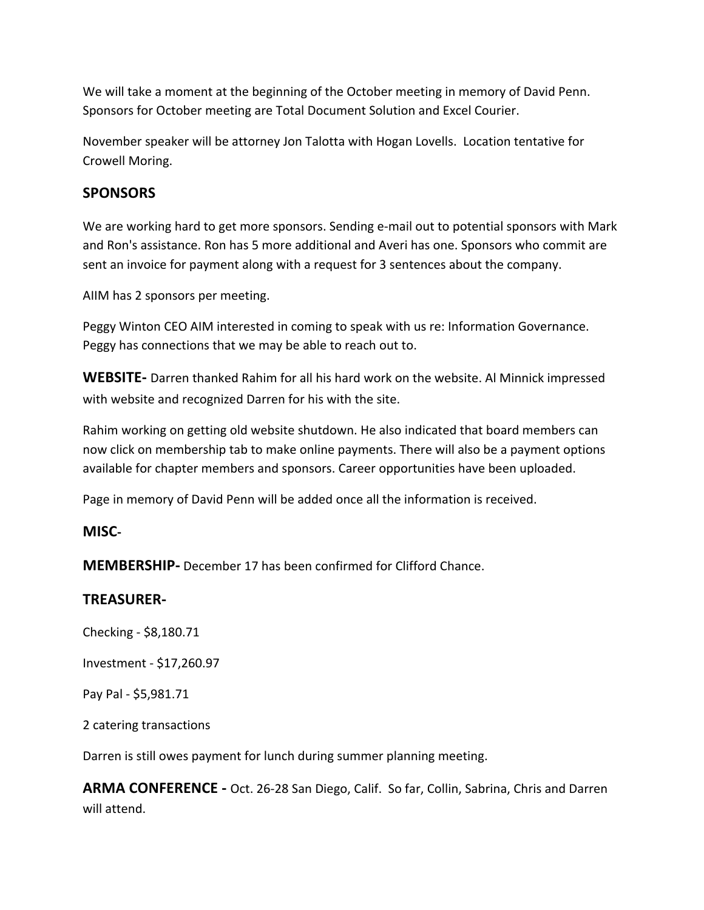We will take a moment at the beginning of the October meeting in memory of David Penn. Sponsors for October meeting are Total Document Solution and Excel Courier.

November speaker will be attorney Jon Talotta with Hogan Lovells. Location tentative for Crowell Moring.

# **SPONSORS**

We are working hard to get more sponsors. Sending e-mail out to potential sponsors with Mark and Ron's assistance. Ron has 5 more additional and Averi has one. Sponsors who commit are sent an invoice for payment along with a request for 3 sentences about the company.

AIIM has 2 sponsors per meeting.

Peggy Winton CEO AIM interested in coming to speak with us re: Information Governance. Peggy has connections that we may be able to reach out to.

**WEBSITE-** Darren thanked Rahim for all his hard work on the website. Al Minnick impressed with website and recognized Darren for his with the site.

Rahim working on getting old website shutdown. He also indicated that board members can now click on membership tab to make online payments. There will also be a payment options available for chapter members and sponsors. Career opportunities have been uploaded.

Page in memory of David Penn will be added once all the information is received.

## **MISC-**

**MEMBERSHIP-** December 17 has been confirmed for Clifford Chance.

## **TREASURER-**

Checking - \$8,180.71

Investment - \$17,260.97

Pay Pal - \$5,981.71

2 catering transactions

Darren is still owes payment for lunch during summer planning meeting.

**ARMA CONFERENCE** - Oct. 26-28 San Diego, Calif. So far, Collin, Sabrina, Chris and Darren will attend.